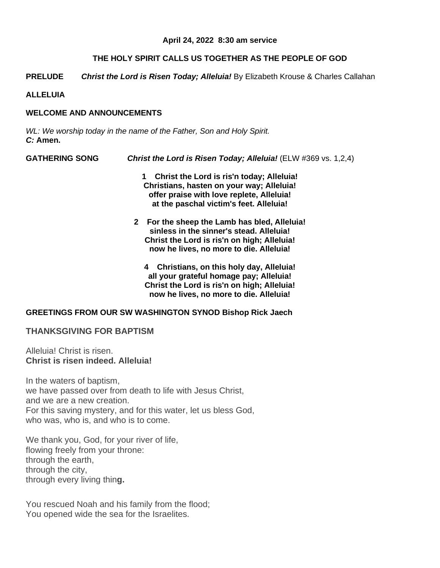# **THE HOLY SPIRIT CALLS US TOGETHER AS THE PEOPLE OF GOD**

**PRELUDE** *Christ the Lord is Risen Today; Alleluia!* By Elizabeth Krouse & Charles Callahan

## **ALLELUIA**

# **WELCOME AND ANNOUNCEMENTS**

*WL: We worship today in the name of the Father, Son and Holy Spirit. C:* **Amen.**

**GATHERING SONG** *Christ the Lord is Risen Today; Alleluia!* (ELW #369 vs. 1,2,4)

- **1 Christ the Lord is ris'n today; Alleluia! Christians, hasten on your way; Alleluia! offer praise with love replete, Alleluia! at the paschal victim's feet. Alleluia!**
- **2 For the sheep the Lamb has bled, Alleluia! sinless in the sinner's stead. Alleluia! Christ the Lord is ris'n on high; Alleluia! now he lives, no more to die. Alleluia!**
	- **4 Christians, on this holy day, Alleluia! all your grateful homage pay; Alleluia! Christ the Lord is ris'n on high; Alleluia! now he lives, no more to die. Alleluia!**

**GREETINGS FROM OUR SW WASHINGTON SYNOD Bishop Rick Jaech**

**THANKSGIVING FOR BAPTISM**

Alleluia! Christ is risen. **Christ is risen indeed. Alleluia!**

In the waters of baptism, we have passed over from death to life with Jesus Christ, and we are a new creation. For this saving mystery, and for this water, let us bless God, who was, who is, and who is to come.

We thank you, God, for your river of life, flowing freely from your throne: through the earth, through the city, through every living thin**g.**

You rescued Noah and his family from the flood; You opened wide the sea for the Israelites.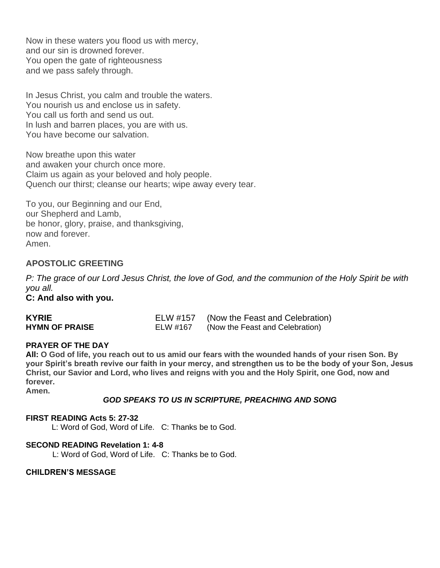Now in these waters you flood us with mercy, and our sin is drowned forever. You open the gate of righteousness and we pass safely through.

In Jesus Christ, you calm and trouble the waters. You nourish us and enclose us in safety. You call us forth and send us out. In lush and barren places, you are with us. You have become our salvation.

Now breathe upon this water and awaken your church once more. Claim us again as your beloved and holy people. Quench our thirst; cleanse our hearts; wipe away every tear.

To you, our Beginning and our End, our Shepherd and Lamb, be honor, glory, praise, and thanksgiving, now and forever. Amen.

# **APOSTOLIC GREETING**

P: The grace of our Lord Jesus Christ, the love of God, and the communion of the Holy Spirit be with *you all.*

**C: And also with you.**

| <b>KYRIE</b>          | ELW #157 | (Now the Feast and Celebration) |
|-----------------------|----------|---------------------------------|
| <b>HYMN OF PRAISE</b> | ELW #167 | (Now the Feast and Celebration) |

## **PRAYER OF THE DAY**

**All: O God of life, you reach out to us amid our fears with the wounded hands of your risen Son. By your Spirit's breath revive our faith in your mercy, and strengthen us to be the body of your Son, Jesus Christ, our Savior and Lord, who lives and reigns with you and the Holy Spirit, one God, now and forever.**

**Amen.**

## *GOD SPEAKS TO US IN SCRIPTURE, PREACHING AND SONG*

### **FIRST READING Acts 5: 27-32**

L: Word of God, Word of Life. C: Thanks be to God.

### **SECOND READING Revelation 1: 4-8**

L: Word of God, Word of Life. C: Thanks be to God.

### **CHILDREN'S MESSAGE**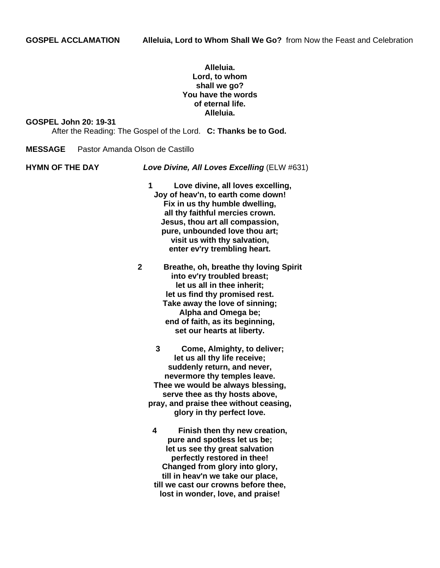### **Alleluia. Lord, to whom shall we go? You have the words of eternal life. Alleluia.**

#### **GOSPEL John 20: 19-31**

After the Reading: The Gospel of the Lord. **C: Thanks be to God.**

- **MESSAGE** Pastor Amanda Olson de Castillo
- 

**HYMN OF THE DAY** *Love Divine, All Loves Excelling* (ELW #631)

- **1 Love divine, all loves excelling, Joy of heav'n, to earth come down! Fix in us thy humble dwelling, all thy faithful mercies crown. Jesus, thou art all compassion, pure, unbounded love thou art; visit us with thy salvation, enter ev'ry trembling heart.**
- **2 Breathe, oh, breathe thy loving Spirit into ev'ry troubled breast; let us all in thee inherit; let us find thy promised rest. Take away the love of sinning; Alpha and Omega be; end of faith, as its beginning, set our hearts at liberty.**

**3 Come, Almighty, to deliver; let us all thy life receive; suddenly return, and never, nevermore thy temples leave. Thee we would be always blessing, serve thee as thy hosts above, pray, and praise thee without ceasing, glory in thy perfect love.**

**4 Finish then thy new creation, pure and spotless let us be; let us see thy great salvation perfectly restored in thee! Changed from glory into glory, till in heav'n we take our place, till we cast our crowns before thee, lost in wonder, love, and praise!**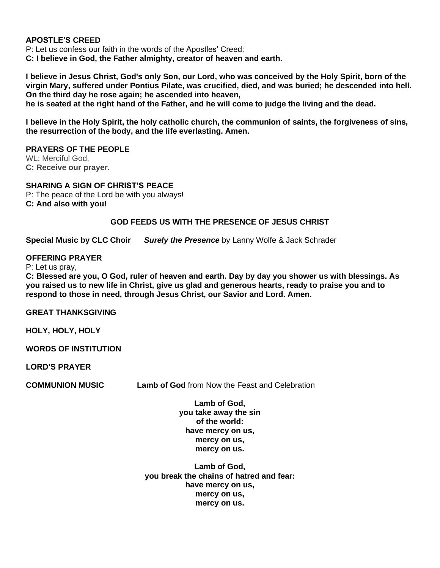## **APOSTLE'S CREED**

P: Let us confess our faith in the words of the Apostles' Creed: **C: I believe in God, the Father almighty, creator of heaven and earth.**

I believe in Jesus Christ, God's only Son, our Lord, who was conceived by the Holy Spirit, born of the **virgin Mary, suffered under Pontius Pilate, was crucified, died, and was buried; he descended into hell. On the third day he rose again; he ascended into heaven,**

he is seated at the right hand of the Father, and he will come to judge the living and the dead.

I believe in the Holy Spirit, the holy catholic church, the communion of saints, the forgiveness of sins, **the resurrection of the body, and the life everlasting. Amen.**

## **PRAYERS OF THE PEOPLE**

WL: Merciful God. **C: Receive our prayer.**

## **SHARING A SIGN OF CHRIST'S PEACE**

P: The peace of the Lord be with you always! **C: And also with you!**

### **GOD FEEDS US WITH THE PRESENCE OF JESUS CHRIST**

**Special Music by CLC Choir** *Surely the Presence* by Lanny Wolfe & Jack Schrader

### **OFFERING PRAYER**

P: Let us pray,

C: Blessed are you, O God, ruler of heaven and earth. Day by day you shower us with blessings. As you raised us to new life in Christ, give us glad and generous hearts, ready to praise you and to **respond to those in need, through Jesus Christ, our Savior and Lord. Amen.**

**GREAT THANKSGIVING**

**HOLY, HOLY, HOLY**

**WORDS OF INSTITUTION**

**LORD'S PRAYER**

**COMMUNION MUSIC Lamb of God** from Now the Feast and Celebration

**Lamb of God, you take away the sin of the world: have mercy on us, mercy on us, mercy on us.**

**Lamb of God, you break the chains of hatred and fear: have mercy on us, mercy on us, mercy on us.**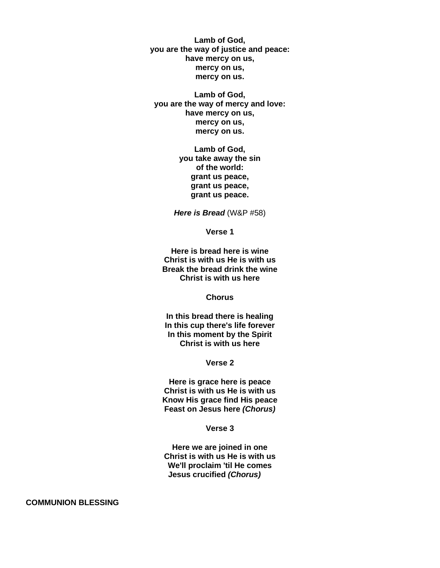**Lamb of God, you are the way of justice and peace: have mercy on us, mercy on us, mercy on us.**

**Lamb of God, you are the way of mercy and love: have mercy on us, mercy on us, mercy on us.**

> **Lamb of God, you take away the sin of the world: grant us peace, grant us peace, grant us peace.**

*Here is Bread* (W&P #58)

**Verse 1**

**Here is bread here is wine Christ is with us He is with us Break the bread drink the wine Christ is with us here**

**Chorus**

**In this bread there is healing In this cup there's life forever In this moment by the Spirit Christ is with us here**

**Verse 2**

**Here is grace here is peace Christ is with us He is with us Know His grace find His peace Feast on Jesus here** *(Chorus)*

#### **Verse 3**

**Here we are joined in one Christ is with us He is with us We'll proclaim 'til He comes Jesus crucified** *(Chorus)*

**COMMUNION BLESSING**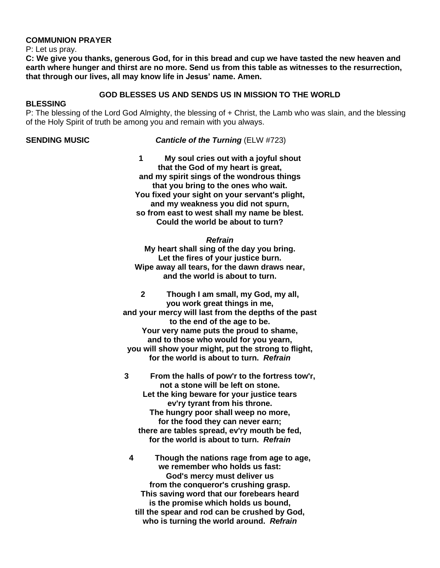## **COMMUNION PRAYER**

P: Let us pray.

C: We give you thanks, generous God, for in this bread and cup we have tasted the new heaven and earth where hunger and thirst are no more. Send us from this table as witnesses to the resurrection, **that through our lives, all may know life in Jesus' name. Amen.**

# **GOD BLESSES US AND SENDS US IN MISSION TO THE WORLD**

### **BLESSING**

P: The blessing of the Lord God Almighty, the blessing of + Christ, the Lamb who was slain, and the blessing of the Holy Spirit of truth be among you and remain with you always.

**SENDING MUSIC** *Canticle of the Turning* (ELW #723)

**1 My soul cries out with a joyful shout that the God of my heart is great, and my spirit sings of the wondrous things that you bring to the ones who wait. You fixed your sight on your servant's plight, and my weakness you did not spurn, so from east to west shall my name be blest. Could the world be about to turn?**

## *Refrain*

**My heart shall sing of the day you bring. Let the fires of your justice burn. Wipe away all tears, for the dawn draws near, and the world is about to turn.**

**2 Though I am small, my God, my all, you work great things in me, and your mercy will last from the depths of the past to the end of the age to be. Your very name puts the proud to shame, and to those who would for you yearn, you will show your might, put the strong to flight, for the world is about to turn.** *Refrain*

**3 From the halls of pow'r to the fortress tow'r, not a stone will be left on stone. Let the king beware for your justice tears ev'ry tyrant from his throne. The hungry poor shall weep no more, for the food they can never earn; there are tables spread, ev'ry mouth be fed, for the world is about to turn.** *Refrain*

**4 Though the nations rage from age to age, we remember who holds us fast: God's mercy must deliver us from the conqueror's crushing grasp. This saving word that our forebears heard is the promise which holds us bound, till the spear and rod can be crushed by God, who is turning the world around.** *Refrain*